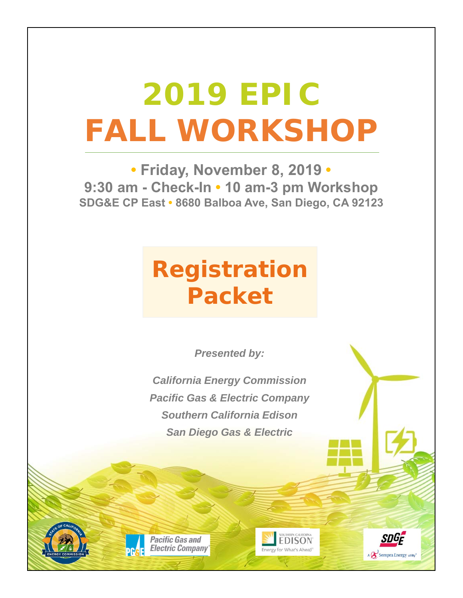# **2019 EPIC FALL WORKSHOP**

**• Friday, November 8, 2019 • 9:30 am - Check-In • 10 am-3 pm Workshop SDG&E CP East • 8680 Balboa Ave, San Diego, CA 92123**

## **Registration Packet**

*Presented by:*

*California Energy Commission Pacific Gas & Electric Company Southern California Edison San Diego Gas & Electric*

**Pacific Gas and Electric Company** 



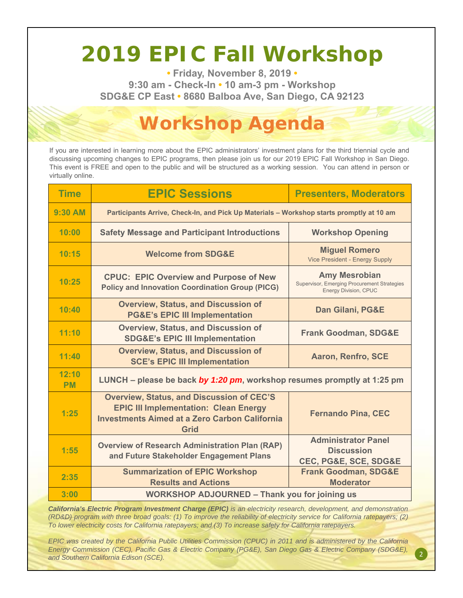### **2019 EPIC Fall Workshop**

**• Friday, November 8, 2019 • 9:30 am - Check-In • 10 am-3 pm - Workshop SDG&E CP East • 8680 Balboa Ave, San Diego, CA 92123**

### **Workshop Agenda**

If you are interested in learning more about the EPIC administrators' investment plans for the third triennial cycle and discussing upcoming changes to EPIC programs, then please join us for our 2019 EPIC Fall Workshop in San Diego. This event is FREE and open to the public and will be structured as a working session. You can attend in person or virtually online.

| <b>Time</b>        | <b>EPIC Sessions</b>                                                                                                                                             | <b>Presenters, Moderators</b>                                                                       |
|--------------------|------------------------------------------------------------------------------------------------------------------------------------------------------------------|-----------------------------------------------------------------------------------------------------|
| <b>9:30 AM</b>     | Participants Arrive, Check-In, and Pick Up Materials - Workshop starts promptly at 10 am                                                                         |                                                                                                     |
| 10:00              | <b>Safety Message and Participant Introductions</b>                                                                                                              | <b>Workshop Opening</b>                                                                             |
| 10:15              | <b>Welcome from SDG&amp;E</b>                                                                                                                                    | <b>Miguel Romero</b><br><b>Vice President - Energy Supply</b>                                       |
| 10:25              | <b>CPUC: EPIC Overview and Purpose of New</b><br><b>Policy and Innovation Coordination Group (PICG)</b>                                                          | <b>Amy Mesrobian</b><br>Supervisor, Emerging Procurement Strategies<br><b>Energy Division, CPUC</b> |
| 10:40              | <b>Overview, Status, and Discussion of</b><br><b>PG&amp;E's EPIC III Implementation</b>                                                                          | <b>Dan Gilani, PG&amp;E</b>                                                                         |
| 11:10              | <b>Overview, Status, and Discussion of</b><br><b>SDG&amp;E's EPIC III Implementation</b>                                                                         | <b>Frank Goodman, SDG&amp;E</b>                                                                     |
| 11:40              | <b>Overview, Status, and Discussion of</b><br><b>SCE's EPIC III Implementation</b>                                                                               | <b>Aaron, Renfro, SCE</b>                                                                           |
| 12:10<br><b>PM</b> | LUNCH – please be back by 1:20 pm, workshop resumes promptly at 1:25 pm                                                                                          |                                                                                                     |
| 1:25               | <b>Overview, Status, and Discussion of CEC'S</b><br><b>EPIC III Implementation: Clean Energy</b><br><b>Investments Aimed at a Zero Carbon California</b><br>Grid | <b>Fernando Pina, CEC</b>                                                                           |
| 1:55               | <b>Overview of Research Administration Plan (RAP)</b><br>and Future Stakeholder Engagement Plans                                                                 | <b>Administrator Panel</b><br><b>Discussion</b><br>CEC, PG&E, SCE, SDG&E                            |
| 2:35               | <b>Summarization of EPIC Workshop</b><br><b>Results and Actions</b>                                                                                              | <b>Frank Goodman, SDG&amp;E</b><br><b>Moderator</b>                                                 |
| 3:00               | <b>WORKSHOP ADJOURNED - Thank you for joining us</b>                                                                                                             |                                                                                                     |

*California's Electric Program Investment Charge (EPIC) is an electricity research, development, and demonstration (RD&D) program with three broad goals: (1) To improve the reliability of electricity service for California ratepayers; (2) To lower electricity costs for California ratepayers; and (3) To increase safety for California ratepayers.*

*EPIC was created by the California Public Utilities Commission (CPUC) in 2011 and is administered by the California Energy Commission (CEC), Pacific Gas & Electric Company (PG&E), San Diego Gas & Electric Company (SDG&E), and Southern California Edison (SCE).*

2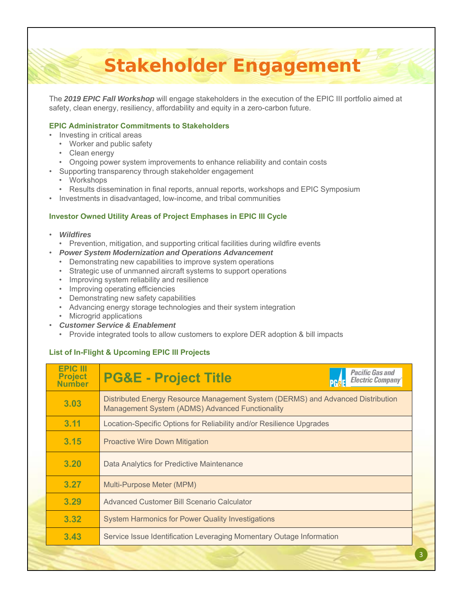### **Stakeholder Engagement**

The *2019 EPIC Fall Workshop* will engage stakeholders in the execution of the EPIC III portfolio aimed at safety, clean energy, resiliency, affordability and equity in a zero-carbon future.

#### **EPIC Administrator Commitments to Stakeholders**

- Investing in critical areas
	- Worker and public safety
	- Clean energy
	- Ongoing power system improvements to enhance reliability and contain costs
- Supporting transparency through stakeholder engagement
	- Workshops
	- Results dissemination in final reports, annual reports, workshops and EPIC Symposium
- Investments in disadvantaged, low-income, and tribal communities

### **Investor Owned Utility Areas of Project Emphases in EPIC III Cycle**

- *Wildfires*
	- Prevention, mitigation, and supporting critical facilities during wildfire events
- *Power System Modernization and Operations Advancement*
	- Demonstrating new capabilities to improve system operations
	- Strategic use of unmanned aircraft systems to support operations
	- Improving system reliability and resilience
	- Improving operating efficiencies
	- Demonstrating new safety capabilities
	- Advancing energy storage technologies and their system integration
	- Microgrid applications
- *Customer Service & Enablement*
	- Provide integrated tools to allow customers to explore DER adoption & bill impacts

### **List of In-Flight & Upcoming EPIC III Projects**

| <b>EPIC III</b><br><b>Project</b><br><b>Number</b> | <i><b>Pacific Gas and</b></i><br><b>PG&amp;E - Project Title</b><br><b>Electric Company</b>                                        |
|----------------------------------------------------|------------------------------------------------------------------------------------------------------------------------------------|
| 3.03                                               | Distributed Energy Resource Management System (DERMS) and Advanced Distribution<br>Management System (ADMS) Advanced Functionality |
| 3.11                                               | Location-Specific Options for Reliability and/or Resilience Upgrades                                                               |
| 3.15                                               | <b>Proactive Wire Down Mitigation</b>                                                                                              |
| 3.20                                               | Data Analytics for Predictive Maintenance                                                                                          |
| 3.27                                               | Multi-Purpose Meter (MPM)                                                                                                          |
| 3.29                                               | Advanced Customer Bill Scenario Calculator                                                                                         |
| 3.32                                               | <b>System Harmonics for Power Quality Investigations</b>                                                                           |
| 3.43                                               | Service Issue Identification Leveraging Momentary Outage Information                                                               |
|                                                    |                                                                                                                                    |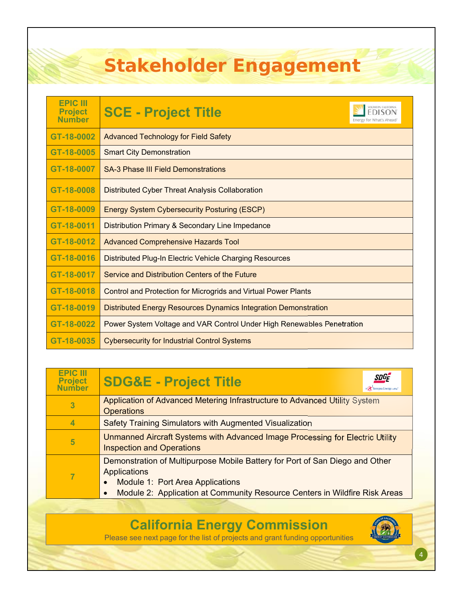### **Stakeholder Engagement**

| <b>EPIC III</b><br><b>Project</b><br><b>Number</b> | SOUTHERN CALIFORNIA<br><b>SCE - Project Title</b><br>Energy for What's Ahead |
|----------------------------------------------------|------------------------------------------------------------------------------|
| GT-18-0002                                         | <b>Advanced Technology for Field Safety</b>                                  |
| GT-18-0005                                         | <b>Smart City Demonstration</b>                                              |
| GT-18-0007                                         | <b>SA-3 Phase III Field Demonstrations</b>                                   |
| GT-18-0008                                         | Distributed Cyber Threat Analysis Collaboration                              |
| GT-18-0009                                         | <b>Energy System Cybersecurity Posturing (ESCP)</b>                          |
| GT-18-0011                                         | Distribution Primary & Secondary Line Impedance                              |
| GT-18-0012                                         | <b>Advanced Comprehensive Hazards Tool</b>                                   |
| GT-18-0016                                         | Distributed Plug-In Electric Vehicle Charging Resources                      |
| GT-18-0017                                         | Service and Distribution Centers of the Future                               |
| GT-18-0018                                         | <b>Control and Protection for Microgrids and Virtual Power Plants</b>        |
| GT-18-0019                                         | <b>Distributed Energy Resources Dynamics Integration Demonstration</b>       |
| GT-18-0022                                         | Power System Voltage and VAR Control Under High Renewables Penetration       |
| GT-18-0035                                         | <b>Cybersecurity for Industrial Control Systems</b>                          |

| <b>EPIC III</b><br><b>Project</b><br>Number | <b>SDGF</b><br><b>SDG&amp;E - Project Title</b><br>A Sempra Energy usiny"                                                                     |
|---------------------------------------------|-----------------------------------------------------------------------------------------------------------------------------------------------|
| 3                                           | Application of Advanced Metering Infrastructure to Advanced Utility System<br><b>Operations</b>                                               |
| 4                                           | Safety Training Simulators with Augmented Visualization                                                                                       |
| 5                                           | Unmanned Aircraft Systems with Advanced Image Processing for Electric Utility<br><b>Inspection and Operations</b>                             |
|                                             | Demonstration of Multipurpose Mobile Battery for Port of San Diego and Other<br>Applications<br>Module 1: Port Area Applications<br>$\bullet$ |
|                                             | Module 2: Application at Community Resource Centers in Wildfire Risk Areas                                                                    |

**California Energy Commission**

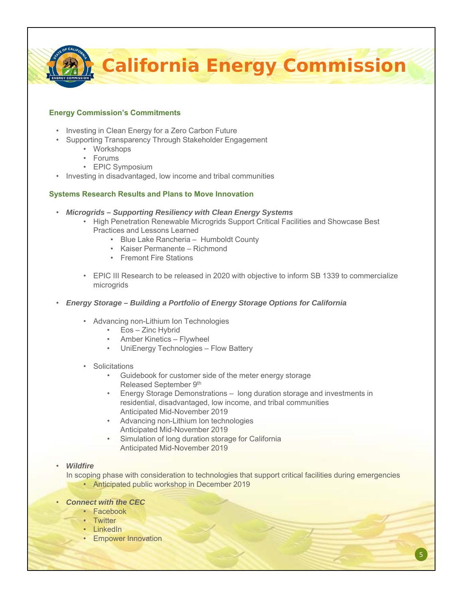**California Energy Commission**

#### **Energy Commission's Commitments**

- Investing in Clean Energy for a Zero Carbon Future
- Supporting Transparency Through Stakeholder Engagement
	- Workshops
	- Forums
	- EPIC Symposium
- Investing in disadvantaged, low income and tribal communities

#### **Systems Research Results and Plans to Move Innovation**

- *Microgrids Supporting Resiliency with Clean Energy Systems*
	- High Penetration Renewable Microgrids Support Critical Facilities and Showcase Best Practices and Lessons Learned
		- Blue Lake Rancheria Humboldt County
		- Kaiser Permanente Richmond
		- Fremont Fire Stations
	- EPIC III Research to be released in 2020 with objective to inform SB 1339 to commercialize microgrids
- *Energy Storage Building a Portfolio of Energy Storage Options for California*
	- Advancing non-Lithium Ion Technologies
		- Eos Zinc Hybrid
		- Amber Kinetics Flywheel
		- UniEnergy Technologies Flow Battery

#### **Solicitations**

- Guidebook for customer side of the meter energy storage Released September 9th
- Energy Storage Demonstrations long duration storage and investments in residential, disadvantaged, low income, and tribal communities Anticipated Mid-November 2019
- Advancing non-Lithium Ion technologies Anticipated Mid-November 2019
- Simulation of long duration storage for California Anticipated Mid-November 2019

### • *Wildfire*

In scoping phase with consideration to technologies that support critical facilities during emergencies • Anticipated public workshop in December 2019

5

#### • *Connect with the CEC*

- Facebook
- Twitter
- LinkedIn
- Empower Innovation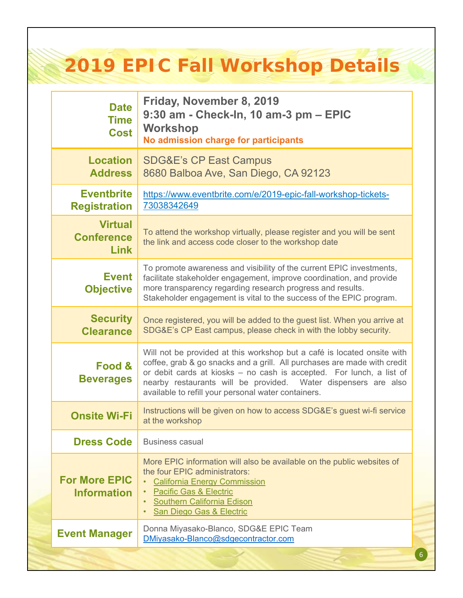### **2019 EPIC Fall Workshop Details**

| <b>Date</b><br><b>Time</b><br><b>Cost</b>   | Friday, November 8, 2019<br>9:30 am - Check-ln, 10 am-3 pm – EPIC<br><b>Workshop</b><br>No admission charge for participants                                                                                                                                                                                                                         |
|---------------------------------------------|------------------------------------------------------------------------------------------------------------------------------------------------------------------------------------------------------------------------------------------------------------------------------------------------------------------------------------------------------|
| <b>Location</b><br><b>Address</b>           | <b>SDG&amp;E's CP East Campus</b><br>8680 Balboa Ave, San Diego, CA 92123                                                                                                                                                                                                                                                                            |
| <b>Eventbrite</b><br><b>Registration</b>    | https://www.eventbrite.com/e/2019-epic-fall-workshop-tickets-<br>73038342649                                                                                                                                                                                                                                                                         |
| <b>Virtual</b><br><b>Conference</b><br>Link | To attend the workshop virtually, please register and you will be sent<br>the link and access code closer to the workshop date                                                                                                                                                                                                                       |
| <b>Event</b><br><b>Objective</b>            | To promote awareness and visibility of the current EPIC investments,<br>facilitate stakeholder engagement, improve coordination, and provide<br>more transparency regarding research progress and results.<br>Stakeholder engagement is vital to the success of the EPIC program.                                                                    |
| <b>Security</b><br><b>Clearance</b>         | Once registered, you will be added to the guest list. When you arrive at<br>SDG&E's CP East campus, please check in with the lobby security.                                                                                                                                                                                                         |
| Food &<br><b>Beverages</b>                  | Will not be provided at this workshop but a café is located onsite with<br>coffee, grab & go snacks and a grill. All purchases are made with credit<br>or debit cards at kiosks - no cash is accepted. For lunch, a list of<br>nearby restaurants will be provided. Water dispensers are also<br>available to refill your personal water containers. |
| <b>Onsite Wi-Fi</b>                         | Instructions will be given on how to access SDG&E's guest wi-fi service<br>at the workshop                                                                                                                                                                                                                                                           |
| <b>Dress Code</b>                           | <b>Business casual</b>                                                                                                                                                                                                                                                                                                                               |
| <b>For More EPIC</b><br><b>Information</b>  | More EPIC information will also be available on the public websites of<br>the four EPIC administrators:<br><b>California Energy Commission</b><br><b>Pacific Gas &amp; Electric</b><br><b>Southern California Edison</b><br>San Diego Gas & Electric                                                                                                 |
| <b>Event Manager</b>                        | Donna Miyasako-Blanco, SDG&E EPIC Team<br>DMiyasako-Blanco@sdgecontractor.com                                                                                                                                                                                                                                                                        |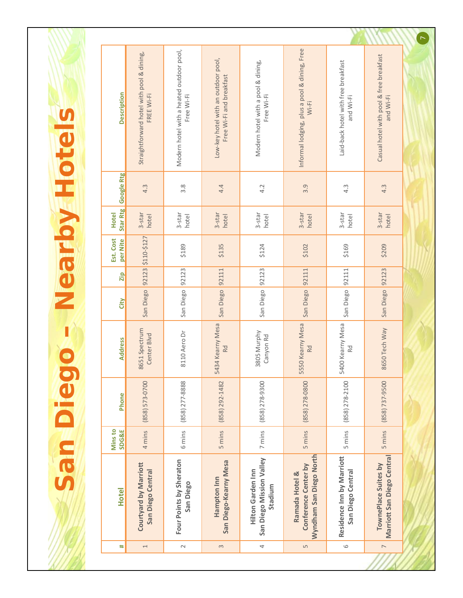San Diego - Nearby Hotels **San Diego – Nearby Hotels**

| ₩                        | <b>Hotel</b>                                                      | Mins to<br><b>SDG&amp;E</b> | Phone                | <b>Address</b>               | City      | Zip   | Est. Cost<br>per Nite | Star Rtg<br><b>Hotel</b> | <b>Google Rtg</b> | <b>Description</b>                                              |
|--------------------------|-------------------------------------------------------------------|-----------------------------|----------------------|------------------------------|-----------|-------|-----------------------|--------------------------|-------------------|-----------------------------------------------------------------|
| $\overline{\phantom{0}}$ | <b>Courtyard by Marriott</b><br>San Diego Central                 | 4 mins                      | $(858) 573 - 0700$   | 8651 Spectrum<br>Center Blvd | San Diego |       | 92123 \$110-\$127     | 3-star<br>hotel          | 4.3               | Straightforward hotel with pool & dining,<br>FREE Wi-Fi         |
| $\sim$                   | Four Points by Sheraton<br>San Diego                              | 6 mins                      | $(858)$ $277 - 8888$ | 8110 Aero Dr                 | San Diego | 92123 | \$189                 | 3-star<br>hotel          | 3.8               | Modern hotel with a heated outdoor pool,<br>Free Wi-Fi          |
| $\infty$                 | San Diego-Kearny Mesa<br>Hampton Inn                              | 5 mins                      | $(858)$ 292-1482     | 5434 Kearny Mesa<br>Rd       | San Diego | 92111 | \$135                 | 3-star<br>hotel          | 4.4               | Low-key hotel with an outdoor pool,<br>Free Wi-Fi and breakfast |
| 4                        | San Diego Mission Valley<br><b>Hilton Garden Inn</b><br>Stadium   | 7 mins                      | $(858)$ $278 - 9300$ | 3805 Murphy<br>Canyon Rd     | San Diego | 92123 | \$124                 | 3-star<br>hotel          | 4.2               | Modern hotel with a pool & dining,<br>Free Wi-Fi                |
| LN                       | Wyndham San Diego North<br>Conference Center by<br>Ramada Hotel & | 5 mins                      | $(858)$ $278 - 0800$ | 5550 Kearny Mesa<br>Rd       | San Diego | 92111 | \$102                 | 3-star<br>hotel          | 3.9               | Informal lodging, plus a pool & dining, Free<br>$Wi-Fi$         |
| $\circ$                  | Residence Inn by Marriott<br>San Diego Central                    | 5 mins                      | $(858)$ $278 - 2100$ | 5400 Kearny Mesa<br>Rd       | San Diego | 92111 | \$169                 | 3-star<br>hotel          | 4.3               | Laid-back hotel with free breakfast<br>and Wi-Fi                |
| $\overline{\phantom{0}}$ | Marriott San Diego Central<br>TownePlace Suites by                | 5 mins                      | $(858)$ 737-9500     | 8650 Tech Way                | San Diego | 92123 | \$209                 | 3-star<br>hotel          | 4.3               | Casual hotel with pool & free breakfast<br>and Wi-Fi            |
|                          |                                                                   |                             |                      |                              |           |       |                       |                          |                   |                                                                 |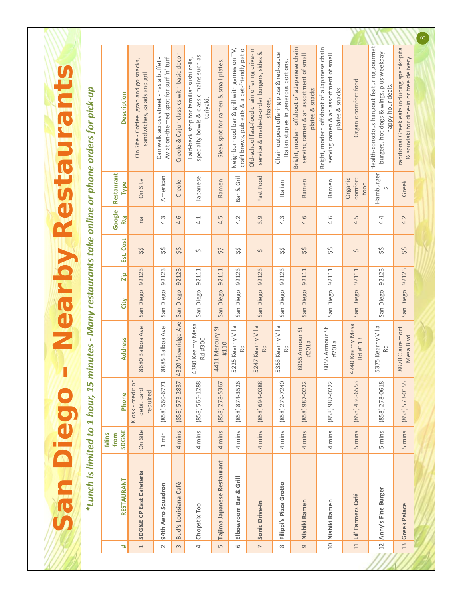\*Lunch is limited to 1 hour, 15 minutes - Many restaurants take online or phone orders for pick-up *\*Lunch is limited to 1 hour, 15 minutes ‐ Many restaurants take online or phone orders for pick‐up*

**San Diego – Nearby Restaurants**

**San Diego - Nearby Restaurants** 

|                                         |                                                                       |                                                                                 |                                          |                                                                                                  |                                      |                                                                                            |                                                                                                     |                                                                                   |                                                                                                           |                                                                                                           |                             |                                                                                                            |                                                                                         | $\infty$ |
|-----------------------------------------|-----------------------------------------------------------------------|---------------------------------------------------------------------------------|------------------------------------------|--------------------------------------------------------------------------------------------------|--------------------------------------|--------------------------------------------------------------------------------------------|-----------------------------------------------------------------------------------------------------|-----------------------------------------------------------------------------------|-----------------------------------------------------------------------------------------------------------|-----------------------------------------------------------------------------------------------------------|-----------------------------|------------------------------------------------------------------------------------------------------------|-----------------------------------------------------------------------------------------|----------|
| <b>Description</b>                      | On Site - Coffee, grab and go snacks,<br>sandwiches, salads and grill | Aviation-themed spot for surf 'n' turf<br>Can walk across street - has a buffet | Creole & Cajun classics with basic decor | specialty bowls & classic mains such as<br>Laid-back stop for familiar sushi rolls,<br>teriyaki. | Sleek spot for ramen & small plates. | Neighborhood bar & grill with games on TV,<br>craft brews, pub eats & a pet-friendly patio | Old-school fast-food chain offering drive-in<br>service & made-to-order burgers, sides &<br>shakes. | Chain outpost offering pizza & red-sauce<br>Italian staples in generous portions. | Bright, modern offshoot of a Japanese chain<br>serving ramen & an assortment of small<br>plates & snacks. | Bright, modern offshoot of a Japanese chain<br>serving ramen & an assortment of small<br>plates & snacks. | Organic comfort food        | Health-conscious hangout featuring gourmet<br>burgers, hot dogs & wings, plus weekday<br>happy hour deals. | Traditional Greek eats including spanikopita<br>& souvlaki for dine-in or free delivery |          |
| Restaurant<br><b>Type</b>               | On Site                                                               | American                                                                        | Creole                                   | Japanese                                                                                         | Ramen                                | Bar & Grill                                                                                | Fast Food                                                                                           | Italian                                                                           | Ramen                                                                                                     | Ramen                                                                                                     | comfort<br>Organic<br>food  | Hamburger<br>S                                                                                             | Greek                                                                                   |          |
| Google<br><b>Rtg</b>                    | na                                                                    | 4.3                                                                             | 4.6                                      | 4.1                                                                                              | 4.5                                  | 4.2                                                                                        | 3.9                                                                                                 | 4.3                                                                               | 4.6                                                                                                       | 4.6                                                                                                       | 4.5                         | 4.4                                                                                                        | 4.2                                                                                     |          |
| Est. Cost                               | \$\$                                                                  | \$\$                                                                            | \$\$                                     | ጎ                                                                                                | \$\$                                 | \$\$                                                                                       | Ş                                                                                                   | \$\$                                                                              | \$\$                                                                                                      | \$\$                                                                                                      | Ş                           | \$\$                                                                                                       | \$\$                                                                                    |          |
| $\frac{1}{2}$                           | 92123                                                                 | 92123                                                                           | 92123                                    | 92111                                                                                            | 92111                                | 92123                                                                                      | 92123                                                                                               | 92123                                                                             | 92111                                                                                                     | 92111                                                                                                     | 92111                       | 92123                                                                                                      | 92123                                                                                   |          |
| City                                    | San Diego                                                             | San Diego                                                                       | San Diego                                | San Diego                                                                                        | San Diego                            | San Diego                                                                                  | San Diego                                                                                           | San Diego                                                                         | San Diego                                                                                                 | San Diego                                                                                                 | San Diego                   | San Diego                                                                                                  | San Diego                                                                               |          |
| <b>Address</b>                          | 680 Balboa Ave<br>$\overline{\infty}$                                 | 8885 Balboa Ave                                                                 | 4320 Viewridge Ave                       | 4380 Kearny Mesa<br>Rd #300                                                                      | 4411 Mercury St<br>#110              | 5225 Kearny Villa<br>R <sub>d</sub>                                                        | 5247 Kearny Villa<br>Rd                                                                             | 5353 Kearny Villa<br>Rd                                                           | 8055 Armour St<br>#201a                                                                                   | 8055 Armour St<br>#201a                                                                                   | 4240 Kearny Mesa<br>Rd #113 | 5375 Kearny Villa<br>Rd                                                                                    | 8878 Clairemont<br>Mesa Blvd                                                            |          |
| Phone                                   | Kiosk - credit or<br>debit card<br>required                           | (858) 560-6771                                                                  | $(858) 573 - 2837$                       | $(858) 565 - 1288$                                                                               | $(858)$ 278-5367                     | $(858) 874 - 3526$                                                                         | 850-699 (858)                                                                                       | (858) 279-7240                                                                    | (858) 987-0222                                                                                            | $(858)$ 987-0222                                                                                          | $(858)$ 430-6553            | $(858)$ 278-0618                                                                                           | $(858)$ 573-0155                                                                        |          |
| <b>SDG&amp;E</b><br><b>Mins</b><br>from | On Site                                                               | 1 min                                                                           | 4 mins                                   | 4 mins                                                                                           | 4 mins                               | 4 mins                                                                                     | 4 mins                                                                                              | 4 mins                                                                            | 4 mins                                                                                                    | 4 mins                                                                                                    | 5 mins                      | 5 mins                                                                                                     | 5 mins                                                                                  |          |
| RESTAURANT                              | SDG&E CP East Cafeteria                                               | 94th Aero Squadron                                                              | <b>Bud's Louisiana Café</b>              | Chopstix Too                                                                                     | Tajima Japanese Restaurant           | Elbowroom Bar & Grill                                                                      | Sonic Drive-In                                                                                      | Filippi's Pizza Grotto                                                            | Nishiki Ramen                                                                                             | 10 Nishiki Ramen                                                                                          | Lil' Farmers Café           | Anny's Fine Burger                                                                                         | <b>Greek Palace</b>                                                                     |          |
| ₩                                       | $\overline{\phantom{0}}$                                              | $\sim$                                                                          | 3                                        | 4                                                                                                | LN                                   | 6                                                                                          | $\overline{ }$                                                                                      | $\infty$                                                                          | $\sigma$                                                                                                  |                                                                                                           | 11                          | 12                                                                                                         | 13                                                                                      |          |